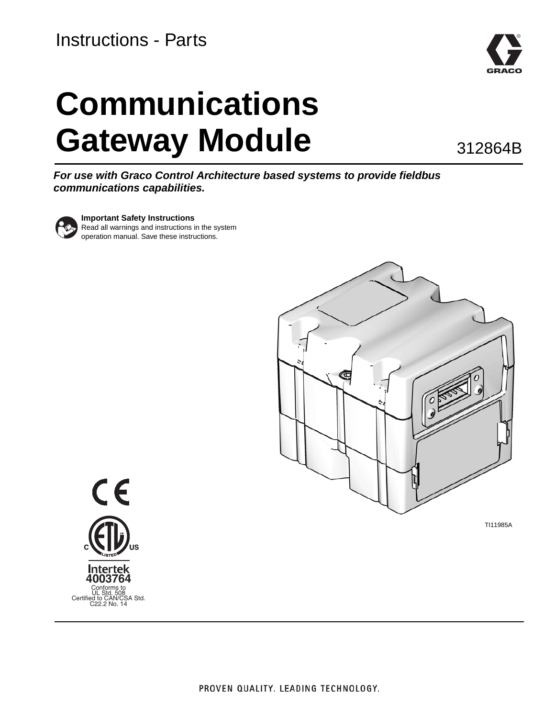### Instructions - Parts



# **Communications Gateway Module**

312864B

*For use with Graco Control Architecture based systems to provide fieldbus communications capabilities.*



**Important Safety Instructions**

Read all warnings and instructions in the system operation manual. Save these instructions.



TI11985A

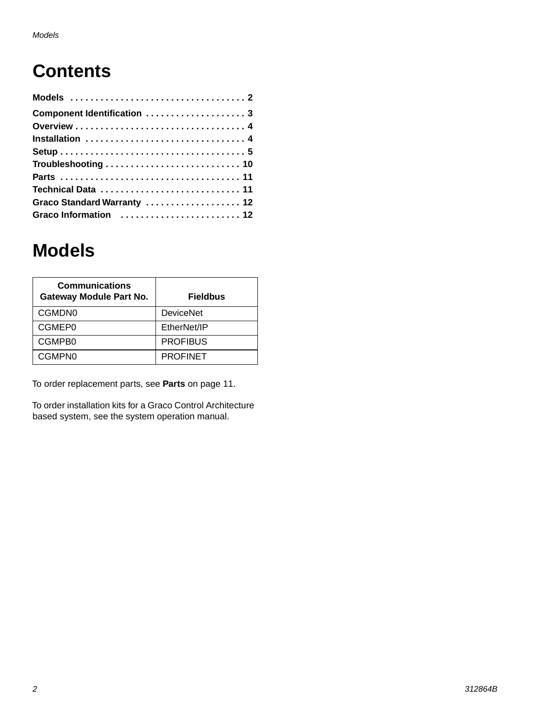## **Contents**

| Component Identification  3 |  |
|-----------------------------|--|
|                             |  |
|                             |  |
|                             |  |
|                             |  |
|                             |  |
| Technical Data  11          |  |
| Graco Standard Warranty  12 |  |
| Graco Information  12       |  |

### <span id="page-1-0"></span>**Models**

| <b>Communications</b><br><b>Gateway Module Part No.</b> | <b>Fieldbus</b>  |
|---------------------------------------------------------|------------------|
| CGMDN0                                                  | <b>DeviceNet</b> |
| CGMEP0                                                  | EtherNet/IP      |
| CGMPB0                                                  | <b>PROFIBUS</b>  |
| CGMPN0                                                  | <b>PROFINET</b>  |

To order replacement parts, see **[Parts](#page-10-0)** on page [11](#page-10-0).

To order installation kits for a Graco Control Architecture based system, see the system operation manual.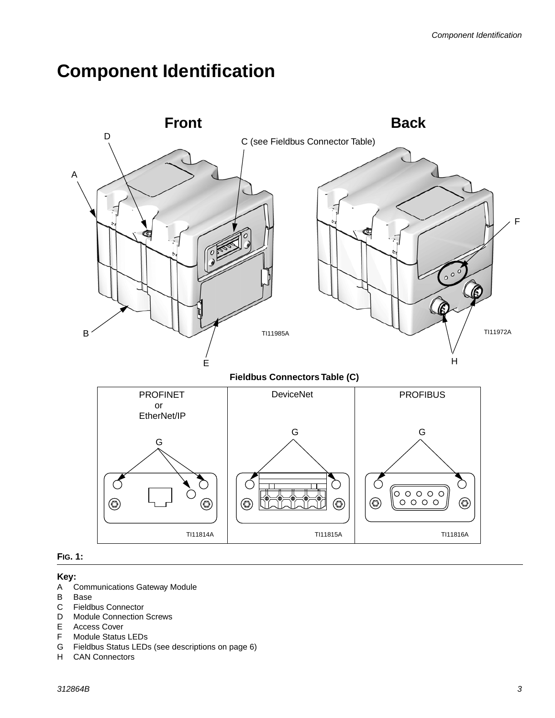### <span id="page-2-0"></span>**Component Identification**





#### **Key:**

- A Communications Gateway Module<br>B Base
- B Base<br>C Fieldt
- Fieldbus Connector
- D Module Connection Screws
- E Access Cover
- F Module Status LEDs
- G Fieldbus Status LEDs (see descriptions on page 6)
- CAN Connectors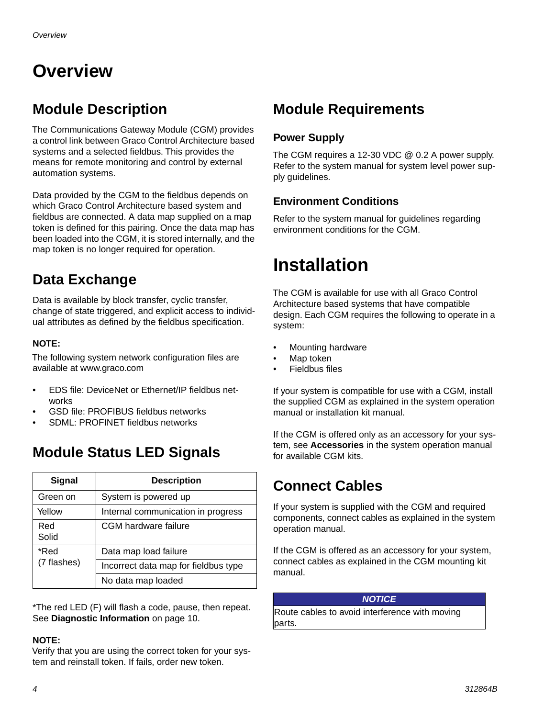## <span id="page-3-0"></span>**Overview**

### **Module Description**

The Communications Gateway Module (CGM) provides a control link between Graco Control Architecture based systems and a selected fieldbus. This provides the means for remote monitoring and control by external automation systems.

Data provided by the CGM to the fieldbus depends on which Graco Control Architecture based system and fieldbus are connected. A data map supplied on a map token is defined for this pairing. Once the data map has been loaded into the CGM, it is stored internally, and the map token is no longer required for operation.

### **Data Exchange**

Data is available by block transfer, cyclic transfer, change of state triggered, and explicit access to individual attributes as defined by the fieldbus specification.

#### **NOTE:**

The following system network configuration files are available at www.graco.com

- EDS file: DeviceNet or Ethernet/IP fieldbus networks
- GSD file: PROFIBUS fieldbus networks
- SDML: PROFINET fieldbus networks

### **Module Status LED Signals**

| <b>Signal</b>       | <b>Description</b>                   |
|---------------------|--------------------------------------|
| Green on            | System is powered up                 |
| Yellow              | Internal communication in progress   |
| Red<br>Solid        | <b>CGM</b> hardware failure          |
| *Red<br>(7 flashes) | Data map load failure                |
|                     | Incorrect data map for fieldbus type |
|                     | No data map loaded                   |

\*The red LED (F) will flash a code, pause, then repeat. See **Diagnostic Information** on page 10.

#### **NOTE:**

Verify that you are using the correct token for your system and reinstall token. If fails, order new token.

### **Module Requirements**

#### **Power Supply**

The CGM requires a 12-30 VDC @ 0.2 A power supply. Refer to the system manual for system level power supply guidelines.

#### **Environment Conditions**

Refer to the system manual for guidelines regarding environment conditions for the CGM.

### <span id="page-3-1"></span>**Installation**

The CGM is available for use with all Graco Control Architecture based systems that have compatible design. Each CGM requires the following to operate in a system:

- Mounting hardware
- Map token
- Fieldbus files

If your system is compatible for use with a CGM, install the supplied CGM as explained in the system operation manual or installation kit manual.

If the CGM is offered only as an accessory for your system, see **Accessories** in the system operation manual for available CGM kits.

### **Connect Cables**

If your system is supplied with the CGM and required components, connect cables as explained in the system operation manual.

If the CGM is offered as an accessory for your system, connect cables as explained in the CGM mounting kit manual.

#### *NOTICE*

Route cables to avoid interference with moving parts.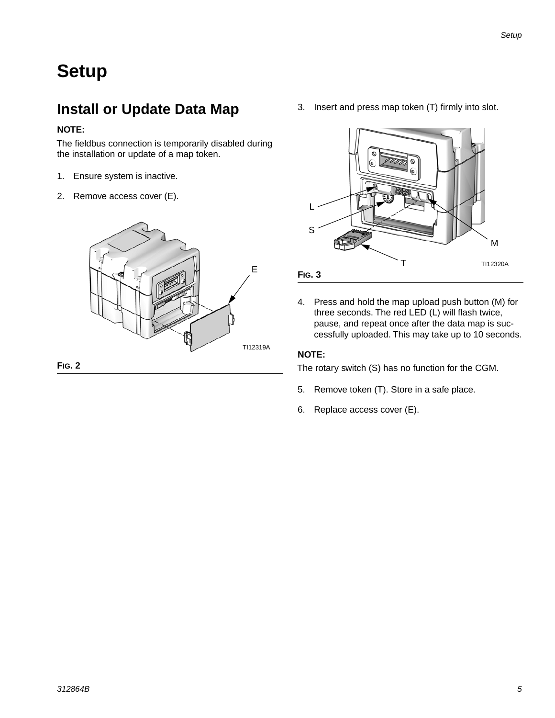### <span id="page-4-0"></span>**Setup**

### **Install or Update Data Map**

#### **NOTE:**

The fieldbus connection is temporarily disabled during the installation or update of a map token.

- 1. Ensure system is inactive.
- 2. Remove access cover (E).



**FIG. 2**

3. Insert and press map token (T) firmly into slot.



4. Press and hold the map upload push button (M) for three seconds. The red LED (L) will flash twice, pause, and repeat once after the data map is successfully uploaded. This may take up to 10 seconds.

#### **NOTE:**

The rotary switch (S) has no function for the CGM.

- 5. Remove token (T). Store in a safe place.
- 6. Replace access cover (E).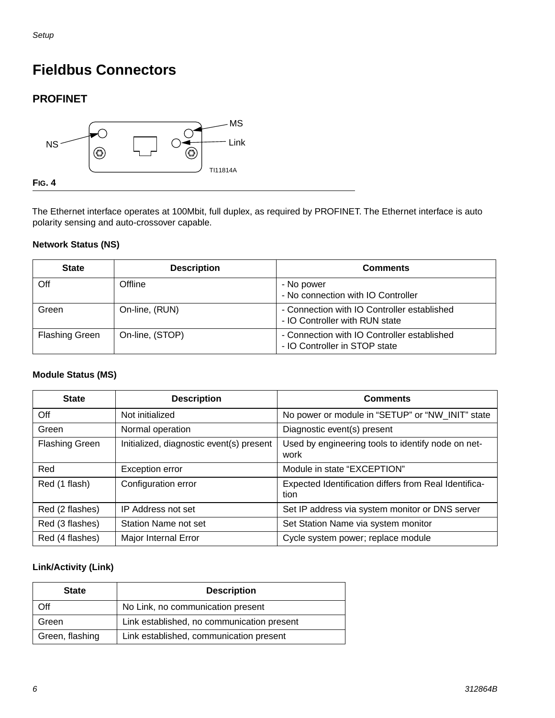### **Fieldbus Connectors**

#### **PROFINET**



The Ethernet interface operates at 100Mbit, full duplex, as required by PROFINET. The Ethernet interface is auto polarity sensing and auto-crossover capable.

#### **Network Status (NS)**

| <b>State</b>          | <b>Description</b> | <b>Comments</b>                                                               |
|-----------------------|--------------------|-------------------------------------------------------------------------------|
| Off                   | Offline            | - No power<br>- No connection with IO Controller                              |
| Green                 | On-line, (RUN)     | - Connection with IO Controller established<br>- IO Controller with RUN state |
| <b>Flashing Green</b> | On-line, (STOP)    | - Connection with IO Controller established<br>- IO Controller in STOP state  |

#### **Module Status (MS)**

| <b>State</b>          | <b>Description</b>                       | <b>Comments</b>                                               |
|-----------------------|------------------------------------------|---------------------------------------------------------------|
| Off                   | Not initialized                          | No power or module in "SETUP" or "NW_INIT" state              |
| Green                 | Normal operation                         | Diagnostic event(s) present                                   |
| <b>Flashing Green</b> | Initialized, diagnostic event(s) present | Used by engineering tools to identify node on net-<br>work    |
| Red                   | <b>Exception error</b>                   | Module in state "EXCEPTION"                                   |
| Red (1 flash)         | Configuration error                      | Expected Identification differs from Real Identifica-<br>tion |
| Red (2 flashes)       | <b>IP Address not set</b>                | Set IP address via system monitor or DNS server               |
| Red (3 flashes)       | Station Name not set                     | Set Station Name via system monitor                           |
| Red (4 flashes)       | Major Internal Error                     | Cycle system power; replace module                            |

#### **Link/Activity (Link)**

| <b>State</b>    | <b>Description</b>                         |
|-----------------|--------------------------------------------|
| Off             | No Link, no communication present          |
| Green           | Link established, no communication present |
| Green, flashing | Link established, communication present    |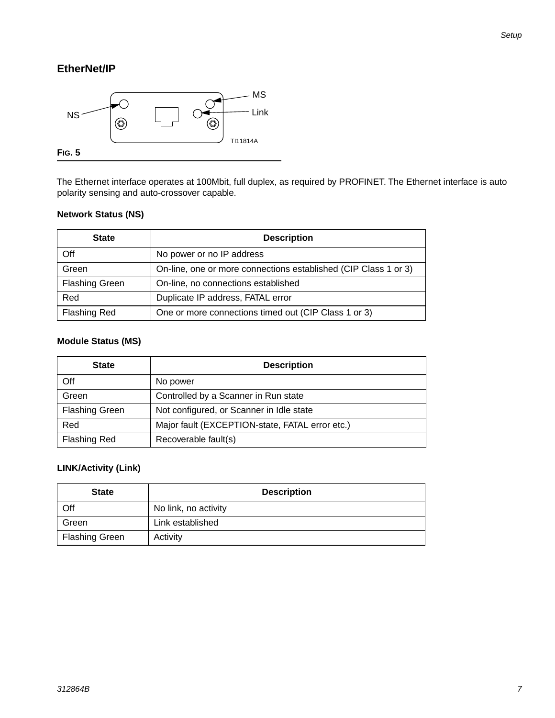#### **EtherNet/IP**



The Ethernet interface operates at 100Mbit, full duplex, as required by PROFINET. The Ethernet interface is auto polarity sensing and auto-crossover capable.

#### **Network Status (NS)**

| <b>State</b>          | <b>Description</b>                                              |
|-----------------------|-----------------------------------------------------------------|
| Off                   | No power or no IP address                                       |
| Green                 | On-line, one or more connections established (CIP Class 1 or 3) |
| <b>Flashing Green</b> | On-line, no connections established                             |
| Red                   | Duplicate IP address, FATAL error                               |
| <b>Flashing Red</b>   | One or more connections timed out (CIP Class 1 or 3)            |

#### **Module Status (MS)**

| <b>State</b>          | <b>Description</b>                              |
|-----------------------|-------------------------------------------------|
| Off                   | No power                                        |
| Green                 | Controlled by a Scanner in Run state            |
| <b>Flashing Green</b> | Not configured, or Scanner in Idle state        |
| Red                   | Major fault (EXCEPTION-state, FATAL error etc.) |
| <b>Flashing Red</b>   | Recoverable fault(s)                            |

#### **LINK/Activity (Link)**

| <b>State</b>          | <b>Description</b>   |
|-----------------------|----------------------|
| Off                   | No link, no activity |
| Green                 | Link established     |
| <b>Flashing Green</b> | Activity             |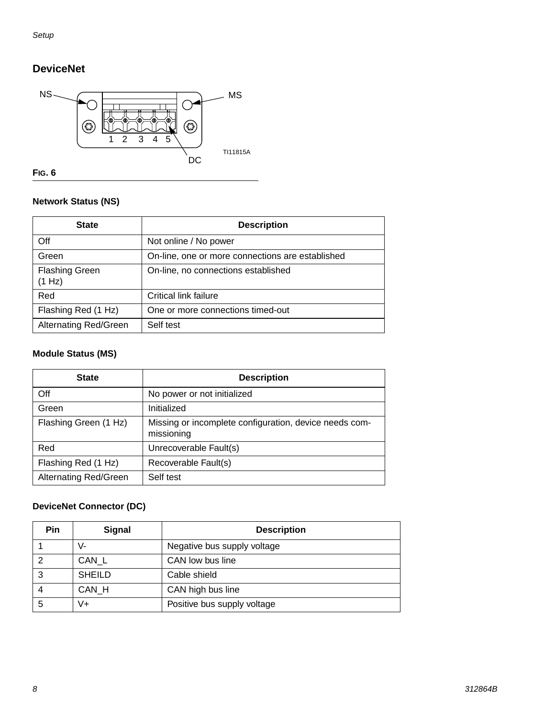### **DeviceNet**



#### **FIG. 6**

#### **Network Status (NS)**

| <b>State</b>                    | <b>Description</b>                               |
|---------------------------------|--------------------------------------------------|
| Off                             | Not online / No power                            |
| Green                           | On-line, one or more connections are established |
| <b>Flashing Green</b><br>(1 Hz) | On-line, no connections established              |
| Red                             | Critical link failure                            |
| Flashing Red (1 Hz)             | One or more connections timed-out                |
| <b>Alternating Red/Green</b>    | Self test                                        |

#### **Module Status (MS)**

| <b>State</b>                 | <b>Description</b>                                                   |
|------------------------------|----------------------------------------------------------------------|
| Off                          | No power or not initialized                                          |
| Green                        | Initialized                                                          |
| Flashing Green (1 Hz)        | Missing or incomplete configuration, device needs com-<br>missioning |
| Red                          | Unrecoverable Fault(s)                                               |
| Flashing Red (1 Hz)          | Recoverable Fault(s)                                                 |
| <b>Alternating Red/Green</b> | Self test                                                            |

#### **DeviceNet Connector (DC)**

| Pin | <b>Signal</b> | <b>Description</b>          |
|-----|---------------|-----------------------------|
|     | V-            | Negative bus supply voltage |
|     | CAN L         | CAN low bus line            |
|     | <b>SHEILD</b> | Cable shield                |
|     | CAN H         | CAN high bus line           |
| 5   | V+            | Positive bus supply voltage |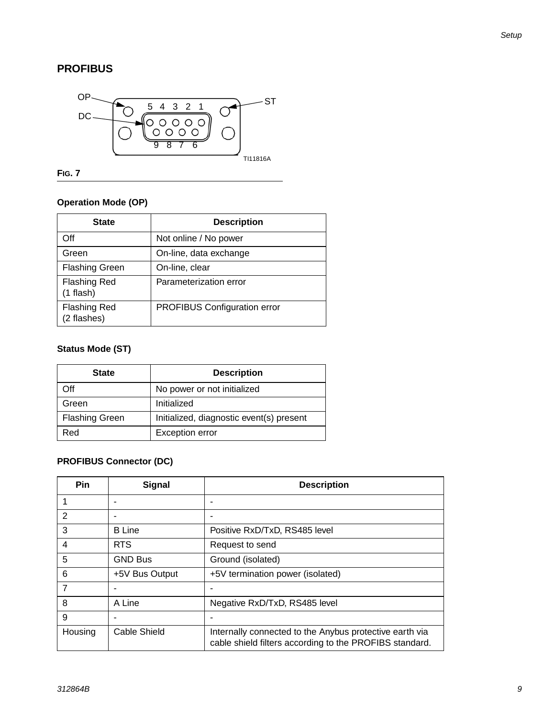#### **PROFIBUS**



**FIG. 7**

#### **Operation Mode (OP)**

| <b>State</b>                       | <b>Description</b>                  |
|------------------------------------|-------------------------------------|
| Off                                | Not online / No power               |
| Green                              | On-line, data exchange              |
| <b>Flashing Green</b>              | On-line, clear                      |
| <b>Flashing Red</b><br>$(1$ flash) | Parameterization error              |
| <b>Flashing Red</b><br>(2 flashes) | <b>PROFIBUS Configuration error</b> |

#### **Status Mode (ST)**

| <b>State</b>          | <b>Description</b>                       |
|-----------------------|------------------------------------------|
| Off                   | No power or not initialized              |
| Green                 | Initialized                              |
| <b>Flashing Green</b> | Initialized, diagnostic event(s) present |
| Red                   | <b>Exception error</b>                   |

#### **PROFIBUS Connector (DC)**

| <b>Pin</b> | Signal         | <b>Description</b>                                                                                                 |
|------------|----------------|--------------------------------------------------------------------------------------------------------------------|
|            |                |                                                                                                                    |
| 2          |                |                                                                                                                    |
| 3          | <b>B</b> Line  | Positive RxD/TxD, RS485 level                                                                                      |
| 4          | <b>RTS</b>     | Request to send                                                                                                    |
| 5          | <b>GND Bus</b> | Ground (isolated)                                                                                                  |
| 6          | +5V Bus Output | +5V termination power (isolated)                                                                                   |
| 7          |                |                                                                                                                    |
| 8          | A Line         | Negative RxD/TxD, RS485 level                                                                                      |
| 9          |                |                                                                                                                    |
| Housing    | Cable Shield   | Internally connected to the Anybus protective earth via<br>cable shield filters according to the PROFIBS standard. |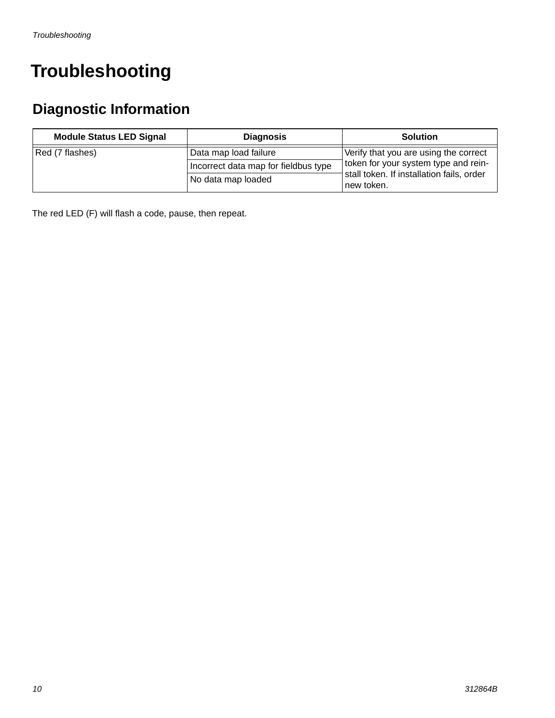### <span id="page-9-0"></span>**Troubleshooting**

### **Diagnostic Information**

| <b>Module Status LED Signal</b> | <b>Diagnosis</b>                     | <b>Solution</b>                                         |
|---------------------------------|--------------------------------------|---------------------------------------------------------|
| Red (7 flashes)                 | Data map load failure                | Verify that you are using the correct                   |
|                                 | Incorrect data map for fieldbus type | token for your system type and rein-                    |
|                                 | No data map loaded                   | stall token. If installation fails, order<br>new token. |

The red LED (F) will flash a code, pause, then repeat.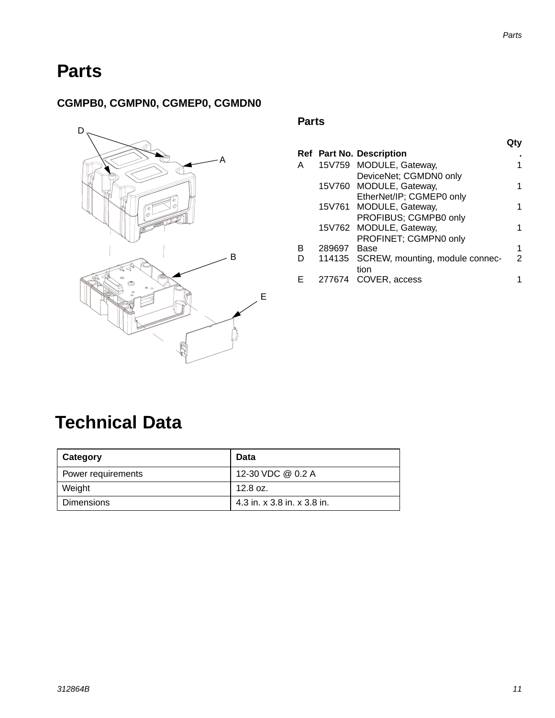$\sim$ 

### <span id="page-10-0"></span>**Parts**

### **CGMPB0, CGMPN0, CGMEP0, CGMDN0**



#### **Parts**

|     |   |        |                                        | Qty            |
|-----|---|--------|----------------------------------------|----------------|
|     |   |        | Ref Part No. Description               | ٠              |
| A   | A |        | 15V759 MODULE, Gateway,                | 1              |
|     |   |        | DeviceNet; CGMDN0 only                 |                |
|     |   |        | 15V760 MODULE, Gateway,                | 1              |
|     |   |        | EtherNet/IP; CGMEP0 only               |                |
|     |   |        | 15V761 MODULE, Gateway,                | 1              |
|     |   |        | PROFIBUS; CGMPB0 only                  |                |
|     |   |        | 15V762 MODULE, Gateway,                | 1              |
|     |   |        | PROFINET; CGMPN0 only                  |                |
|     | B | 289697 | Base                                   | 1              |
| ∠ B | D |        | 114135 SCREW, mounting, module connec- | $\overline{2}$ |
|     |   |        | tion                                   |                |
|     | Е |        | 277674 COVER, access                   |                |

### <span id="page-10-1"></span>**Technical Data**

| Category           | Data                        |
|--------------------|-----------------------------|
| Power requirements | 12-30 VDC @ 0.2 A           |
| Weight             | $12.8 \text{ oz.}$          |
| Dimensions         | 4.3 in. x 3.8 in. x 3.8 in. |